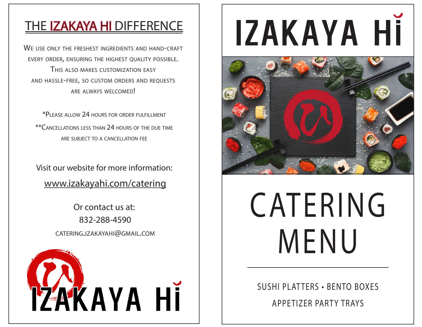#### **THE IZAKAYA HI DIFFERENCE**

WE USE ONLY THE FRESHEST INGREDIENTS AND HAND-CRAFT EVERY ORDER, ENSURING THE HIGHEST QUALITY POSSIBLE. THIS ALSO MAKES CUSTOMIZATION EASY AND HASSLE-FREE, SO CUSTOM ORDERS AND REQUESTS ARE ALWAYS WELCOMED!

\*PLEASE ALLOW 24 HOURS FOR ORDER FULFILLMENT \*\*CANCELLATIONS LESS THAN 24 HOURS OF THE DUE TIME ARE SUBJECT TO A CANCELLATION FEE

Visit our website for more information: www.izakayahi.com/catering

> Or contact us at: 832-288-4590 CATERING.IZAKAYAHI@GMAIL.COM



# IZAKAYA Hİ



## CATERING MENU

SUSHI PLATTERS • BENTO BOXES APPETIZER PARTY TRAYS